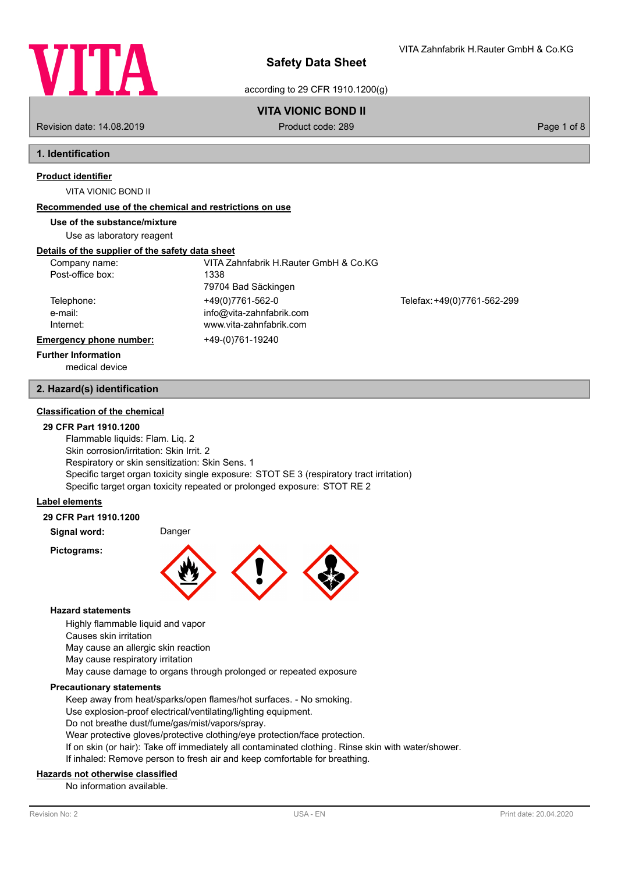

VITA Zahnfabrik H.Rauter GmbH & Co.KG

according to 29 CFR 1910.1200(g)

## **VITA VIONIC BOND II**

Revision date: 14.08.2019 **Product code: 289** Product code: 289 **Page 1 of 8** Page 1 of 8

# **1. Identification**

## **Product identifier**

VITA VIONIC BOND II

## **Recommended use of the chemical and restrictions on use**

**Use of the substance/mixture**

Use as laboratory reagent

## **Details of the supplier of the safety data sheet**

| Company name:                  | VITA Zahnfabrik H.Rauter GmbH & Co.KG |                             |
|--------------------------------|---------------------------------------|-----------------------------|
| Post-office box:               | 1338                                  |                             |
|                                | 79704 Bad Säckingen                   |                             |
| Telephone:                     | +49(0)7761-562-0                      | Telefax: +49(0)7761-562-299 |
| e-mail:                        | info@vita-zahnfabrik.com              |                             |
| Internet:                      | www.vita-zahnfabrik.com               |                             |
| <b>Emergency phone number:</b> | +49-(0)761-19240                      |                             |
| <b>Further Information</b>     |                                       |                             |

medical device

## **2. Hazard(s) identification**

## **Classification of the chemical**

## **29 CFR Part 1910.1200**

Flammable liquids: Flam. Liq. 2 Skin corrosion/irritation: Skin Irrit. 2 Respiratory or skin sensitization: Skin Sens. 1 Specific target organ toxicity single exposure: STOT SE 3 (respiratory tract irritation) Specific target organ toxicity repeated or prolonged exposure: STOT RE 2

## **Label elements**

#### **29 CFR Part 1910.1200**

**Signal word:** Danger

**Pictograms:**



## **Hazard statements**

Highly flammable liquid and vapor

Causes skin irritation

May cause an allergic skin reaction

May cause respiratory irritation

May cause damage to organs through prolonged or repeated exposure

## **Precautionary statements**

Keep away from heat/sparks/open flames/hot surfaces. - No smoking.

Use explosion-proof electrical/ventilating/lighting equipment.

Do not breathe dust/fume/gas/mist/vapors/spray.

Wear protective gloves/protective clothing/eye protection/face protection.

If on skin (or hair): Take off immediately all contaminated clothing. Rinse skin with water/shower.

If inhaled: Remove person to fresh air and keep comfortable for breathing.

## **Hazards not otherwise classified**

No information available.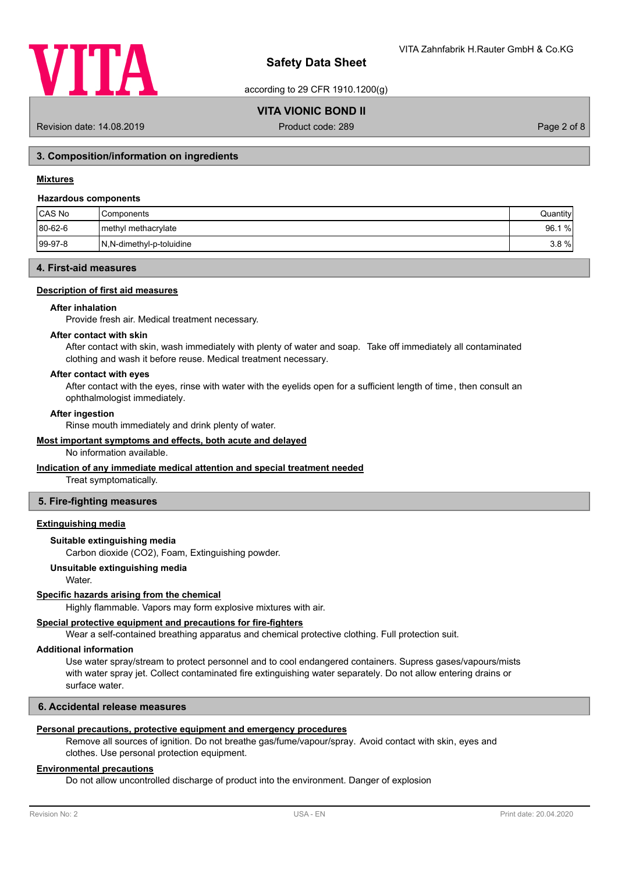

according to 29 CFR 1910.1200(g)

## **VITA VIONIC BOND II**

Revision date: 14.08.2019 **Product code: 289** Product code: 289 **Page 2 of 8** Page 2 of 8

## **3. Composition/information on ingredients**

## **Mixtures**

#### **Hazardous components**

| CAS No      | l Components             | Quantity |
|-------------|--------------------------|----------|
| 80-62-6     | I methyl methacrylate    | 96.1 %   |
| $ 99-97-8 $ | N,N-dimethyl-p-toluidine | $3.8 \%$ |

## **4. First-aid measures**

#### **Description of first aid measures**

#### **After inhalation**

Provide fresh air. Medical treatment necessary.

#### **After contact with skin**

After contact with skin, wash immediately with plenty of water and soap. Take off immediately all contaminated clothing and wash it before reuse. Medical treatment necessary.

## **After contact with eyes**

After contact with the eyes, rinse with water with the eyelids open for a sufficient length of time, then consult an ophthalmologist immediately.

#### **After ingestion**

Rinse mouth immediately and drink plenty of water.

#### **Most important symptoms and effects, both acute and delayed**

No information available.

#### **Indication of any immediate medical attention and special treatment needed**

Treat symptomatically.

## **5. Fire-fighting measures**

#### **Extinguishing media**

#### **Suitable extinguishing media**

Carbon dioxide (CO2), Foam, Extinguishing powder.

## **Unsuitable extinguishing media**

Water.

## **Specific hazards arising from the chemical**

Highly flammable. Vapors may form explosive mixtures with air.

## **Special protective equipment and precautions for fire-fighters**

Wear a self-contained breathing apparatus and chemical protective clothing. Full protection suit.

#### **Additional information**

Use water spray/stream to protect personnel and to cool endangered containers. Supress gases/vapours/mists with water spray jet. Collect contaminated fire extinguishing water separately. Do not allow entering drains or surface water.

#### **6. Accidental release measures**

## **Personal precautions, protective equipment and emergency procedures**

Remove all sources of ignition. Do not breathe gas/fume/vapour/spray. Avoid contact with skin, eyes and clothes. Use personal protection equipment.

## **Environmental precautions**

Do not allow uncontrolled discharge of product into the environment. Danger of explosion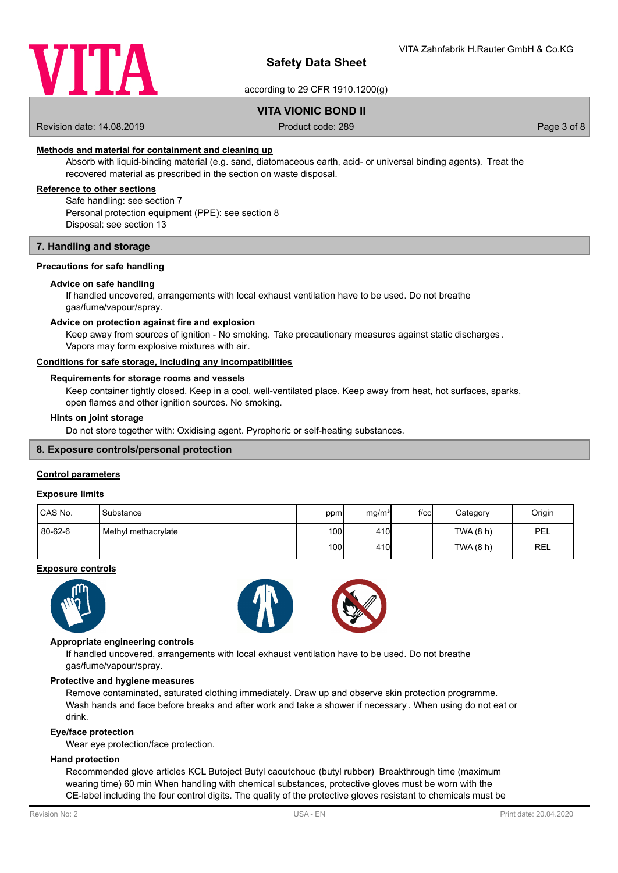

according to 29 CFR 1910.1200(g)

## **VITA VIONIC BOND II**

Revision date: 14.08.2019 **Product code: 289** Product code: 289 **Page 3 of 8** Page 3 of 8

## **Methods and material for containment and cleaning up**

Absorb with liquid-binding material (e.g. sand, diatomaceous earth, acid- or universal binding agents). Treat the recovered material as prescribed in the section on waste disposal.

## **Reference to other sections**

Safe handling: see section 7 Personal protection equipment (PPE): see section 8 Disposal: see section 13

#### **7. Handling and storage**

## **Precautions for safe handling**

#### **Advice on safe handling**

If handled uncovered, arrangements with local exhaust ventilation have to be used. Do not breathe gas/fume/vapour/spray.

#### **Advice on protection against fire and explosion**

Keep away from sources of ignition - No smoking. Take precautionary measures against static discharges. Vapors may form explosive mixtures with air.

#### **Conditions for safe storage, including any incompatibilities**

## **Requirements for storage rooms and vessels**

Keep container tightly closed. Keep in a cool, well-ventilated place. Keep away from heat, hot surfaces, sparks, open flames and other ignition sources. No smoking.

#### **Hints on joint storage**

Do not store together with: Oxidising agent. Pyrophoric or self-heating substances.

## **8. Exposure controls/personal protection**

## **Control parameters**

#### **Exposure limits**

| <b>CAS No.</b> | 'Substance          | ppm              | mg/m <sup>3</sup> | $f$ / $c$ $c$ | Category  | Origin |
|----------------|---------------------|------------------|-------------------|---------------|-----------|--------|
| 80-62-6        | Methyl methacrylate | 100 <sup>1</sup> | 410 <sub>l</sub>  |               | TWA (8 h) | PEL    |
|                |                     | 100 l            | 410               |               | TWA (8 h) | REL    |

#### **Exposure controls**





#### **Appropriate engineering controls**

If handled uncovered, arrangements with local exhaust ventilation have to be used. Do not breathe gas/fume/vapour/spray.

#### **Protective and hygiene measures**

Remove contaminated, saturated clothing immediately. Draw up and observe skin protection programme. Wash hands and face before breaks and after work and take a shower if necessary . When using do not eat or drink.

#### **Eye/face protection**

Wear eye protection/face protection.

## **Hand protection**

Recommended glove articles KCL Butoject Butyl caoutchouc (butyl rubber) Breakthrough time (maximum wearing time) 60 min When handling with chemical substances, protective gloves must be worn with the CE-label including the four control digits. The quality of the protective gloves resistant to chemicals must be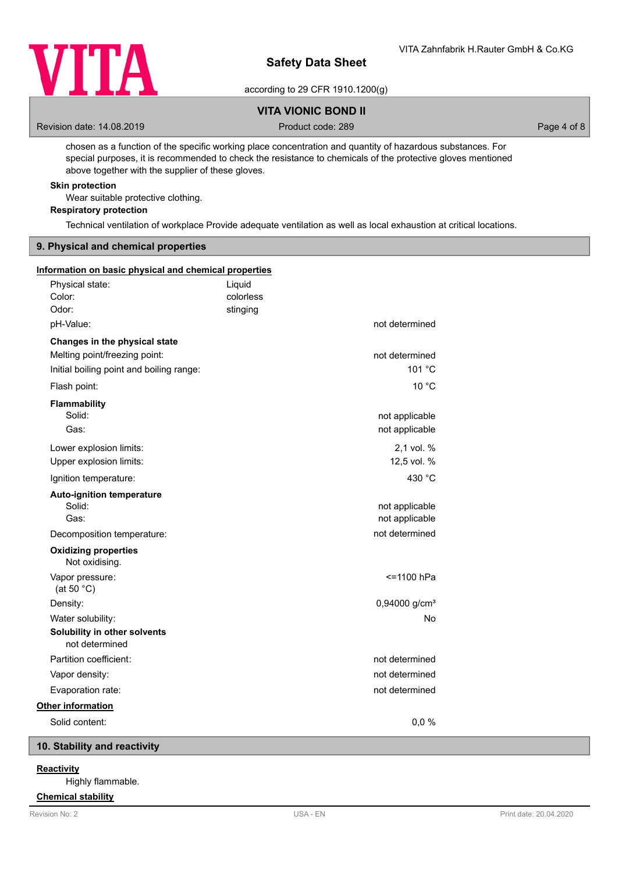

according to 29 CFR 1910.1200(g)

## **VITA VIONIC BOND II**

Revision date: 14.08.2019 **Product code: 289** Product code: 289 **Page 4 of 8** Page 4 of 8

chosen as a function of the specific working place concentration and quantity of hazardous substances. For special purposes, it is recommended to check the resistance to chemicals of the protective gloves mentioned above together with the supplier of these gloves.

## **Skin protection**

Wear suitable protective clothing.

**Respiratory protection**

Technical ventilation of workplace Provide adequate ventilation as well as local exhaustion at critical locations.

## **9. Physical and chemical properties**

| Information on basic physical and chemical properties |                                 |                                  |
|-------------------------------------------------------|---------------------------------|----------------------------------|
| Physical state:<br>Color:<br>Odor:                    | Liquid<br>colorless<br>stinging |                                  |
| pH-Value:                                             |                                 | not determined                   |
| Changes in the physical state                         |                                 |                                  |
| Melting point/freezing point:                         |                                 | not determined                   |
| Initial boiling point and boiling range:              |                                 | 101 °C                           |
| Flash point:                                          |                                 | 10 °C                            |
| Flammability<br>Solid:<br>Gas:                        |                                 | not applicable<br>not applicable |
| Lower explosion limits:<br>Upper explosion limits:    |                                 | 2,1 vol. %<br>12,5 vol. %        |
| Ignition temperature:                                 |                                 | 430 °C                           |
| <b>Auto-ignition temperature</b><br>Solid:<br>Gas:    |                                 | not applicable<br>not applicable |
| Decomposition temperature:                            |                                 | not determined                   |
| <b>Oxidizing properties</b><br>Not oxidising.         |                                 |                                  |
| Vapor pressure:<br>(at 50 $°C$ )                      |                                 | <= 1100 hPa                      |
| Density:                                              |                                 | 0,94000 g/cm <sup>3</sup>        |
| Water solubility:                                     |                                 | No                               |
| Solubility in other solvents<br>not determined        |                                 |                                  |
| Partition coefficient:                                |                                 | not determined                   |
| Vapor density:                                        |                                 | not determined                   |
| Evaporation rate:                                     |                                 | not determined                   |
| Other information                                     |                                 |                                  |
| Solid content:                                        |                                 | 0,0%                             |
|                                                       |                                 |                                  |

## **10. Stability and reactivity**

## **Reactivity**

Highly flammable.

# **Chemical stability**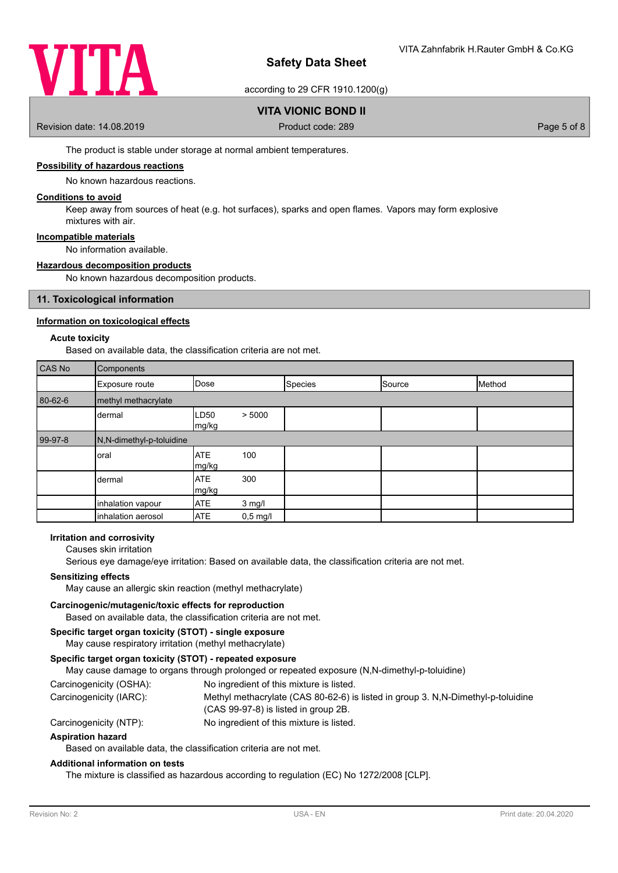

according to 29 CFR 1910.1200(g)

## **VITA VIONIC BOND II**

Revision date: 14.08.2019 **Product code: 289** Product code: 289 **Page 5 of 8** Page 5 of 8

The product is stable under storage at normal ambient temperatures.

## **Possibility of hazardous reactions**

No known hazardous reactions.

## **Conditions to avoid**

Keep away from sources of heat (e.g. hot surfaces), sparks and open flames. Vapors may form explosive mixtures with air.

#### **Incompatible materials**

No information available.

#### **Hazardous decomposition products**

No known hazardous decomposition products.

## **11. Toxicological information**

## **Information on toxicological effects**

## **Acute toxicity**

Based on available data, the classification criteria are not met.

| CAS No  | Components               |                     |            |         |        |        |
|---------|--------------------------|---------------------|------------|---------|--------|--------|
|         | Exposure route           | Dose                |            | Species | Source | Method |
| 80-62-6 | methyl methacrylate      |                     |            |         |        |        |
|         | dermal                   | ∟D50<br>mg/kg       | > 5000     |         |        |        |
| 99-97-8 | N,N-dimethyl-p-toluidine |                     |            |         |        |        |
|         | oral                     | <b>ATE</b><br>mg/kg | 100        |         |        |        |
|         | dermal                   | <b>ATE</b><br>mg/kg | 300        |         |        |        |
|         | inhalation vapour        | <b>ATE</b>          | $3$ mg/l   |         |        |        |
|         | inhalation aerosol       | <b>ATE</b>          | $0,5$ mg/l |         |        |        |

#### **Irritation and corrosivity**

Causes skin irritation

Serious eye damage/eye irritation: Based on available data, the classification criteria are not met.

## **Sensitizing effects**

May cause an allergic skin reaction (methyl methacrylate)

#### **Carcinogenic/mutagenic/toxic effects for reproduction**

Based on available data, the classification criteria are not met.

## **Specific target organ toxicity (STOT) - single exposure**

May cause respiratory irritation (methyl methacrylate)

## **Specific target organ toxicity (STOT) - repeated exposure**

May cause damage to organs through prolonged or repeated exposure (N,N-dimethyl-p-toluidine)

Carcinogenicity (OSHA): No ingredient of this mixture is listed.

| Carcinogenicity (IARC): | Methyl methacrylate (CAS 80-62-6) is listed in group 3. N, N-Dimethyl-p-toluidine |
|-------------------------|-----------------------------------------------------------------------------------|
|                         | $(CAS 99-97-8)$ is listed in group 2B.                                            |

Carcinogenicity (NTP): No ingredient of this mixture is listed.

#### **Aspiration hazard**

Based on available data, the classification criteria are not met.

#### **Additional information on tests**

The mixture is classified as hazardous according to regulation (EC) No 1272/2008 [CLP].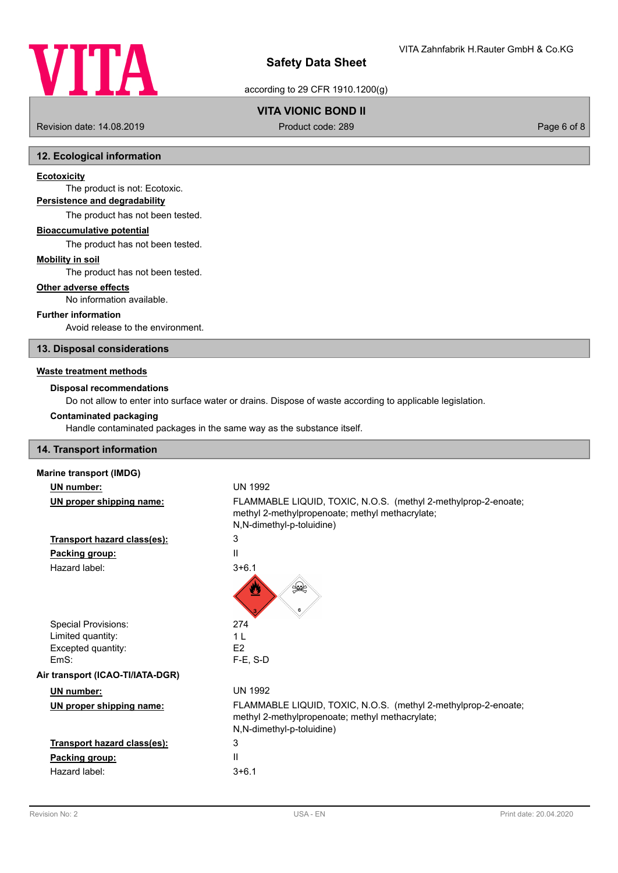

## according to 29 CFR 1910.1200(g)

# **VITA VIONIC BOND II**

Revision date: 14.08.2019 **Product code: 289** Product code: 289 **Page 6 of 8** Page 6 of 8

## **12. Ecological information**

## **Ecotoxicity**

The product is not: Ecotoxic. **Persistence and degradability**

The product has not been tested.

# **Bioaccumulative potential**

The product has not been tested.

## **Mobility in soil**

The product has not been tested.

## **Other adverse effects**

No information available.

## **Further information**

Avoid release to the environment.

## **13. Disposal considerations**

#### **Waste treatment methods**

## **Disposal recommendations**

Do not allow to enter into surface water or drains. Dispose of waste according to applicable legislation.

#### **Contaminated packaging**

Handle contaminated packages in the same way as the substance itself.

## **14. Transport information**

| <b>Marine transport (IMDG)</b>   |                                                                                                                                                |
|----------------------------------|------------------------------------------------------------------------------------------------------------------------------------------------|
| UN number:                       | <b>UN 1992</b>                                                                                                                                 |
| UN proper shipping name:         | FLAMMABLE LIQUID, TOXIC, N.O.S. (methyl 2-methylprop-2-enoate;<br>methyl 2-methylpropenoate; methyl methacrylate;<br>N,N-dimethyl-p-toluidine) |
| Transport hazard class(es):      | 3                                                                                                                                              |
| Packing group:                   | $\mathsf{I}$                                                                                                                                   |
| Hazard label:                    | $3 + 6.1$<br><b>≸≹</b><br>≝<br>6                                                                                                               |
| Special Provisions:              | 274                                                                                                                                            |
| Limited quantity:                | 1 <sub>L</sub>                                                                                                                                 |
| Excepted quantity:               | E <sub>2</sub>                                                                                                                                 |
| EmS:                             | $F-E$ , S-D                                                                                                                                    |
| Air transport (ICAO-TI/IATA-DGR) |                                                                                                                                                |
| UN number:                       | <b>UN 1992</b>                                                                                                                                 |
| UN proper shipping name:         | FLAMMABLE LIQUID, TOXIC, N.O.S. (methyl 2-methylprop-2-enoate;<br>methyl 2-methylpropenoate; methyl methacrylate;<br>N,N-dimethyl-p-toluidine) |
| Transport hazard class(es):      | 3                                                                                                                                              |
| Packing group:                   | $\mathbf{I}$                                                                                                                                   |
| Hazard label:                    | $3 + 6.1$                                                                                                                                      |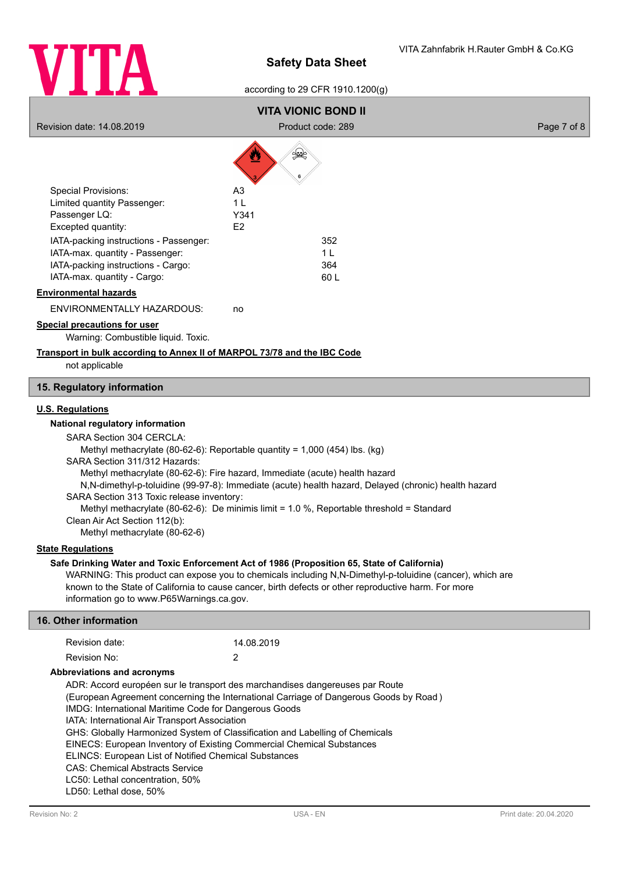

## according to 29 CFR 1910.1200(g)

# **VITA VIONIC BOND II**

Revision date: 14.08.2019 **Product code: 289** Product code: 289 **Page 7 of 8** Page 7 of 8

/À

A

|                                        | 6              |
|----------------------------------------|----------------|
| <b>Special Provisions:</b>             | A3             |
| Limited quantity Passenger:            | 1              |
| Passenger LQ:                          | Y341           |
| Excepted quantity:                     | F <sub>2</sub> |
| IATA-packing instructions - Passenger: | 352            |
| IATA-max. quantity - Passenger:        | 1 I            |
| IATA-packing instructions - Cargo:     | 364            |
| IATA-max. quantity - Cargo:            | 60 L           |

#### **Environmental hazards**

ENVIRONMENTALLY HAZARDOUS: no

# **Special precautions for user**

Warning: Combustible liquid. Toxic.

## **Transport in bulk according to Annex II of MARPOL 73/78 and the IBC Code**

not applicable

## **15. Regulatory information**

## **U.S. Regulations**

#### **National regulatory information**

SARA Section 304 CERCLA: Methyl methacrylate (80-62-6): Reportable quantity = 1,000 (454) lbs. (kg) SARA Section 311/312 Hazards: Methyl methacrylate (80-62-6): Fire hazard, Immediate (acute) health hazard N,N-dimethyl-p-toluidine (99-97-8): Immediate (acute) health hazard, Delayed (chronic) health hazard SARA Section 313 Toxic release inventory: Methyl methacrylate (80-62-6): De minimis limit = 1.0 %, Reportable threshold = Standard Clean Air Act Section 112(b): Methyl methacrylate (80-62-6)

## **State Regulations**

#### **Safe Drinking Water and Toxic Enforcement Act of 1986 (Proposition 65, State of California)**

WARNING: This product can expose you to chemicals including N,N-Dimethyl-p-toluidine (cancer), which are known to the State of California to cause cancer, birth defects or other reproductive harm. For more information go to www.P65Warnings.ca.gov.

| <b>16. Other information</b>                                                                                                                         |                                                                                                                                                                                                                                                                                                                                                         |                                                                                       |  |
|------------------------------------------------------------------------------------------------------------------------------------------------------|---------------------------------------------------------------------------------------------------------------------------------------------------------------------------------------------------------------------------------------------------------------------------------------------------------------------------------------------------------|---------------------------------------------------------------------------------------|--|
| Revision date:                                                                                                                                       | 14.08.2019                                                                                                                                                                                                                                                                                                                                              |                                                                                       |  |
| Revision No:                                                                                                                                         | 2                                                                                                                                                                                                                                                                                                                                                       |                                                                                       |  |
| Abbreviations and acronyms                                                                                                                           |                                                                                                                                                                                                                                                                                                                                                         |                                                                                       |  |
| IATA: International Air Transport Association<br><b>CAS: Chemical Abstracts Service</b><br>LC50: Lethal concentration, 50%<br>LD50: Lethal dose, 50% | ADR: Accord européen sur le transport des marchandises dangereuses par Route<br>IMDG: International Maritime Code for Dangerous Goods<br>GHS: Globally Harmonized System of Classification and Labelling of Chemicals<br>EINECS: European Inventory of Existing Commercial Chemical Substances<br>ELINCS: European List of Notified Chemical Substances | (European Agreement concerning the International Carriage of Dangerous Goods by Road) |  |